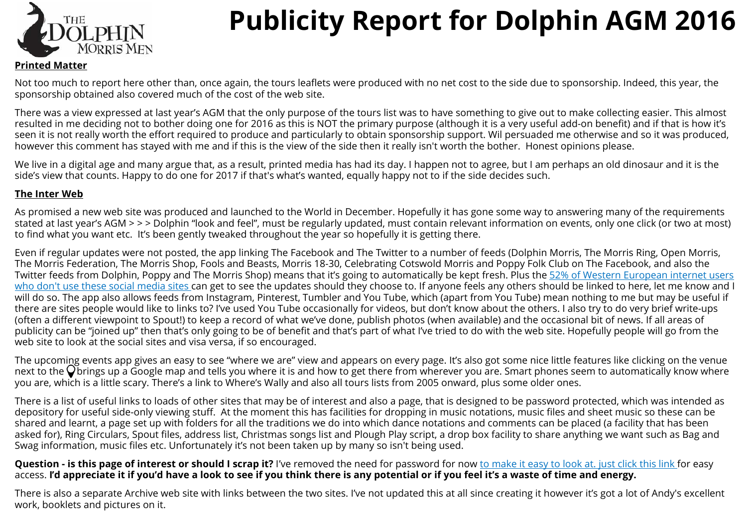

# **Publicity Report for Dolphin AGM 2016**

#### **Printed Matter**

Not too much to report here other than, once again, the tours leaflets were produced with no net cost to the side due to sponsorship. Indeed, this year, the sponsorship obtained also covered much of the cost of the web site.

There was a view expressed at last year's AGM that the only purpose of the tours list was to have something to give out to make collecting easier. This almost resulted in me deciding not to bother doing one for 2016 as this is NOT the primary purpose (although it is a very useful add-on bene fit) and if that is how it's seen it is not really worth the effort required to produce and particularly to obtain sponsorship support. Wil persuaded me otherwise and so it was produced, however this comment has stayed with me and if this is the view of the side then it really isn't worth the bother. Honest opinions please.

We live in a digital age and many argue that, as a result, printed media has had its day. I happen not to agree, but I am perhaps an old dinosaur and it is the side's view that counts. Happy to do one for 2017 if that's what's wanted, equally happy not to if the side decides such.

#### **The Inter Web**

As promised a new web site was produced and launched to the World in December. Hopefully it has gone some way to answering many of the requirements stated at last year's AGM > > > Dolphin "look and feel", must be regularly updated, must contain relevant information on events, only one click (or two at most) to find what you want etc. It's been gently tweaked throughout the year so hopefully it is getting there.

Even if regular updates were not posted, the app linking The Facebook and The Twitter to a number of feeds (Dolphin Morris, The Morris Ring, Open Morris, The Morris Federation, The Morris Shop, Fools and Beasts, Morris 18-30, Celebrating Cotswold Morris and Poppy Folk Club on The Facebook, and also the Twitter feeds from Dolphin, Poppy and The Morris Shop) means that it's going to automatically be kept fresh. Plus the [52% of Western European internet users](http://www.statista.com/statistics/269615/social-network-penetration-by-region/)  [who don't use these social media sites](http://www.statista.com/statistics/269615/social-network-penetration-by-region/) can get to see the updates should they choose to. If anyone feels any others should be linked to here, let me know and I will do so. The app also allows feeds from Instagram, Pinterest, Tumbler and You Tube, which (apart from You Tube) mean nothing to me but may be useful if there are sites people would like to links to? I've used You Tube occasionally for videos, but don't know about the others. I also try to do very brief write-ups (often a di fferent viewpoint to Spout!) to keep a record of what we've done, publish photos (when available) and the occasional bit of news. If all areas of publicity can be "joined up" then that's only going to be of benefit and that's part of what I've tried to do with the web site. Hopefully people will go from the web site to look at the social sites and visa versa, if so encouraged.

The upcoming events app gives an easy to see "where we are" view and appears on every page. It's also got some nice little features like clicking on the venue next to the  $\overline{Q}$  brings up a Google map and tells you where it is and how to get there from wherever you are. Smart phones seem to automatically know where you are, which is a little scary. There's a link to Where's Wally and also all tours lists from 2005 onward, plus some older ones.

There is a list of useful links to loads of other sites that may be of interest and also a page, that is designed to be password protected, which was intended as depository for useful side-only viewing stu ff. At the moment this has facilities for dropping in music notations, music files and sheet music so these can be shared and learnt, a page set up with folders for all the traditions we do into which dance notations and comments can be placed (a facility that has been asked for), Ring Circulars, Spout files, address list, Christmas songs list and Plough Play script, a drop box facility to share anything we want such as Bag and Swag information, music files etc. Unfortunately it's not been taken up by many so isn't being used.

**Question - is this page of interest or should I scrap it?** I've removed the need for password for now [to make it easy to look at. just click this link](http://www.dolphin-morris.co.uk/#!members-only-requires-password/rg14f) for easy access. **I'd appreciate it if you'd have a look to see if you think there is any potential or if you feel it's a waste of time and energy.**

There is also a separate Archive web site with links between the two sites. I've not updated this at all since creating it however it's got a lot of Andy's excellent work, booklets and pictures on it.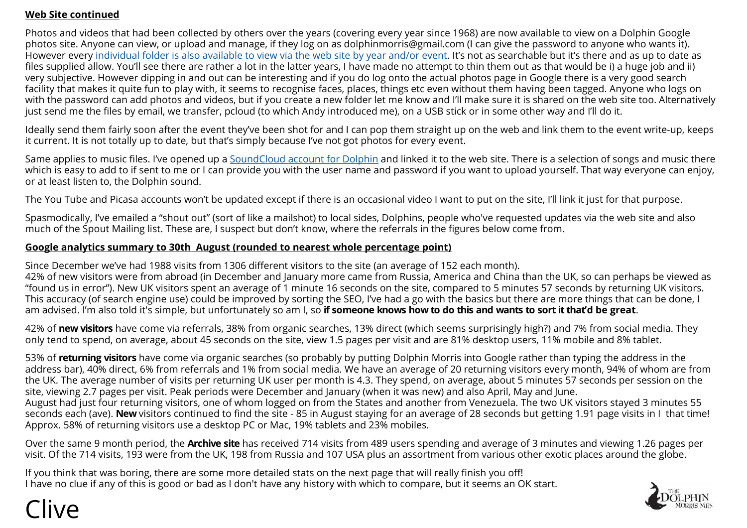### **Web Site continued**

Photos and videos that had been collected by others over the years (covering every year since 1968) are now available to view on a Dolphin Google photos site. Anyone can view, or upload and manage, if they log on as dolphinmorris@gmail.com (I can give the password to anyone who wants it). However every [individual folder is also available to view via the web site by year and/or event.](http://www.dolphin-morris.co.uk/#!photos-and-video-libraries/zqso0) It's not as searchable but it's there and as up to date as files supplied allow. You'll see there are rather a lot in the latter years, I have made no attempt to thin them out as that would be i) a huge job and ii) very subjective. However dipping in and out can be interesting and if you do log onto the actual photos page in Google there is a very good search facility that makes it quite fun to play with, it seems to recognise faces, places, things etc even without them having been tagged. Anyone who logs on with the password can add photos and videos, but if you create a new folder let me know and I'll make sure it is shared on the web site too. Alternatively just send me the files by email, we transfer, pcloud (to which Andy introduced me), on a USB stick or in some other way and I'll do it.

Ideally send them fairly soon after the event they've been shot for and I can pop them straight up on the web and link them to the event write-up, keeps it current. It is not totally up to date, but that's simply because I've not got photos for every event.

Same applies to music files. I've opened up a [SoundCloud account for Dolphin](https://soundcloud.com/dolphin-morris/sets/some-random-songs-tunes-and-monologues) and linked it to the web site. There is a selection of songs and music there which is easy to add to if sent to me or I can provide you with the user name and password if you want to upload yourself. That way everyone can enjoy, or at least listen to, the Dolphin sound.

The You Tube and Picasa accounts won't be updated except if there is an occasional video I want to put on the site, I'll link it just for that purpose.

Spasmodically, I've emailed a "shout out" (sort of like a mailshot) to local sides, Dolphins, people who've requested updates via the web site and also much of the Spout Mailing list. These are, I suspect but don't know, where the referrals in the figures below come from.

#### **Google analytics summary to 30th August (rounded to nearest whole percentage point)**

Since December we've had 1988 visits from 1306 different visitors to the site (an average of 152 each month). 42% of new visitors were from abroad (in December and January more came from Russia, America and China than the UK, so can perhaps be viewed as "found us in error"). New UK visitors spent an average of 1 minute 16 seconds on the site, compared to 5 minutes 57 seconds by returning UK visitors. This accuracy (of search engine use) could be improved by sorting the SEO, I've had a go with the basics but there are more things that can be done, I am advised. I'm also told it's simple, but unfortunately so am I, so **if someone knows how to do this and wants to sort it that'd be great**.

42% of **new visitors** have come via referrals, 38% from organic searches, 13% direct (which seems surprisingly high?) and 7% from social media. They only tend to spend, on average, about 45 seconds on the site, view 1.5 pages per visit and are 81% desktop users, 11% mobile and 8% tablet.

53% of **returning visitors** have come via organic searches (so probably by putting Dolphin Morris into Google rather than typing the address in the address bar), 40% direct, 6% from referrals and 1% from social media. We have an average of 20 returning visitors every month, 94% of whom are from the UK. The average number of visits per returning UK user per month is 4.3. They spend, on average, about 5 minutes 57 seconds per session on the site, viewing 2.7 pages per visit. Peak periods were December and January (when it was new) and also April, May and June. August had just four returning visitors, one of whom logged on from the States and another from Venezuela. The two UK visitors stayed 3 minutes 55 seconds each (ave). **New** visitors continued to find the site - 85 in August staying for an average of 28 seconds but getting 1.91 page visits in I that time! Approx. 58% of returning visitors use a desktop PC or Mac, 19% tablets and 23% mobiles.

Over the same 9 month period, the **Archive site** has received 714 visits from 489 users spending and average of 3 minutes and viewing 1.26 pages per visit. Of the 714 visits, 193 were from the UK, 198 from Russia and 107 USA plus an assortment from various other exotic places around the globe.

If you think that was boring, there are some more detailed stats on the next page that will really finish you off! I have no clue if any of this is good or bad as I don't have any history with which to compare, but it seems an OK start.



## Clive